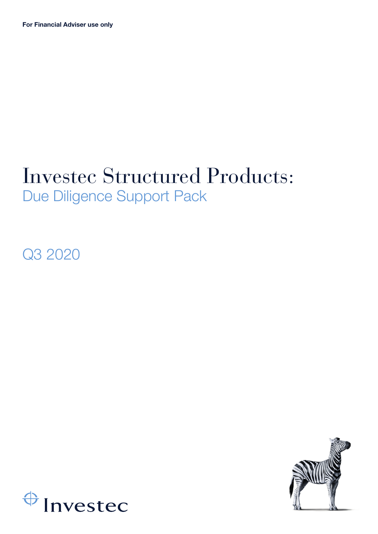## Investec Structured Products: Due Diligence Support Pack

Q3 2020



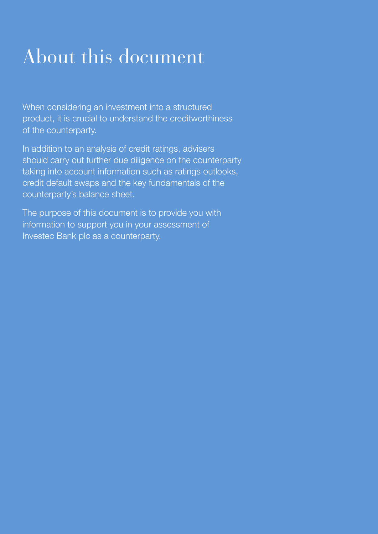# About this document

When considering an investment into a structured product, it is crucial to understand the creditworthiness of the counterparty.

In addition to an analysis of credit ratings, advisers should carry out further due diligence on the counterparty taking into account information such as ratings outlooks, credit default swaps and the key fundamentals of the counterparty's balance sheet.

The purpose of this document is to provide you with information to support you in your assessment of Investec Bank plc as a counterparty.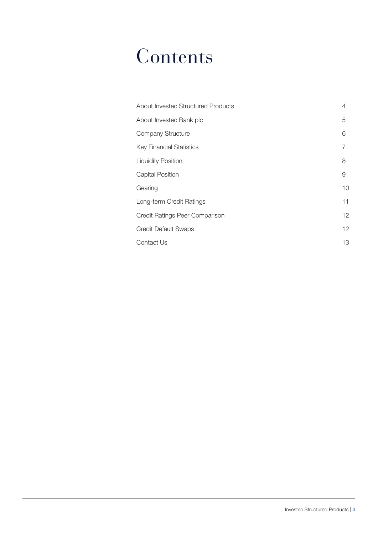## **Contents**

| About Investec Structured Products | 4  |
|------------------------------------|----|
| About Investec Bank plc            | 5  |
| Company Structure                  | 6  |
| <b>Key Financial Statistics</b>    | 7  |
| <b>Liquidity Position</b>          | 8  |
| <b>Capital Position</b>            | 9  |
| Gearing                            | 10 |
| Long-term Credit Ratings           | 11 |
| Credit Ratings Peer Comparison     | 12 |
| <b>Credit Default Swaps</b>        | 12 |
| Contact Us                         | 13 |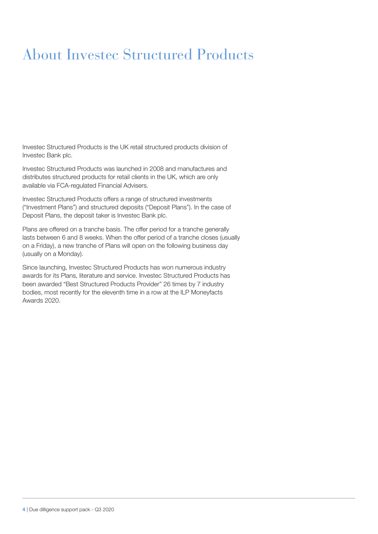### About Investec Structured Products

Investec Structured Products is the UK retail structured products division of Investec Bank plc.

Investec Structured Products was launched in 2008 and manufactures and distributes structured products for retail clients in the UK, which are only available via FCA-regulated Financial Advisers.

Investec Structured Products offers a range of structured investments ("Investment Plans") and structured deposits ("Deposit Plans"). In the case of Deposit Plans, the deposit taker is Investec Bank plc.

Plans are offered on a tranche basis. The offer period for a tranche generally lasts between 6 and 8 weeks. When the offer period of a tranche closes (usually on a Friday), a new tranche of Plans will open on the following business day (usually on a Monday).

Since launching, Investec Structured Products has won numerous industry awards for its Plans, literature and service. Investec Structured Products has been awarded "Best Structured Products Provider" 26 times by 7 industry bodies, most recently for the eleventh time in a row at the ILP Moneyfacts Awards 2020.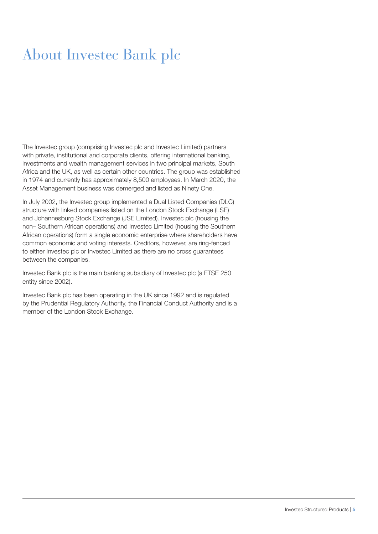### About Investec Bank plc

The Investec group (comprising Investec plc and Investec Limited) partners with private, institutional and corporate clients, offering international banking, investments and wealth management services in two principal markets, South Africa and the UK, as well as certain other countries. The group was established in 1974 and currently has approximately 8,500 employees. In March 2020, the Asset Management business was demerged and listed as Ninety One.

In July 2002, the Investec group implemented a Dual Listed Companies (DLC) structure with linked companies listed on the London Stock Exchange (LSE) and Johannesburg Stock Exchange (JSE Limited). Investec plc (housing the non– Southern African operations) and Investec Limited (housing the Southern African operations) form a single economic enterprise where shareholders have common economic and voting interests. Creditors, however, are ring-fenced to either Investec plc or Investec Limited as there are no cross guarantees between the companies.

Investec Bank plc is the main banking subsidiary of Investec plc (a FTSE 250 entity since 2002).

Investec Bank plc has been operating in the UK since 1992 and is regulated by the Prudential Regulatory Authority, the Financial Conduct Authority and is a member of the London Stock Exchange.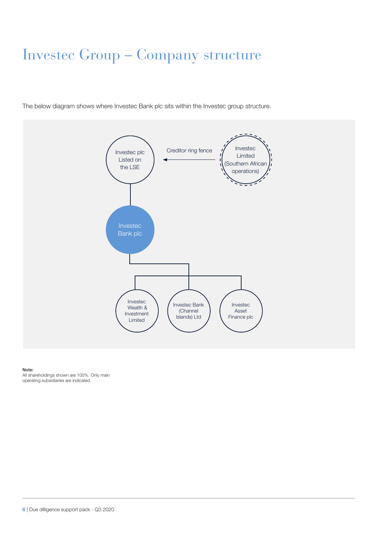### Investec Group – Company structure

The below diagram shows where Investec Bank plc sits within the Investec group structure.



#### Note:

All shareholdings shown are 100%. Only main operating subsidiaries are indicated.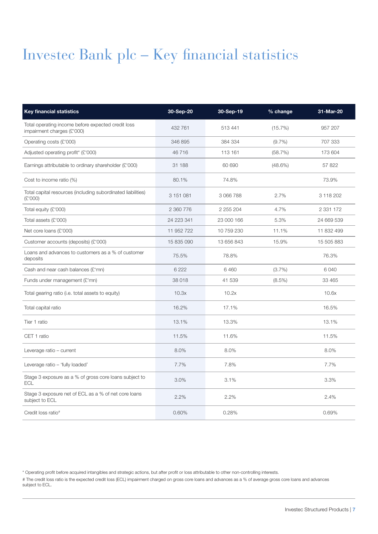### Investec Bank plc – Key financial statistics

| <b>Key financial statistics</b>                                                  | 30-Sep-20  | 30-Sep-19  | % change   | 31-Mar-20     |
|----------------------------------------------------------------------------------|------------|------------|------------|---------------|
| Total operating income before expected credit loss<br>impairment charges (£'000) | 432 761    | 513 441    | (15.7%)    | 957 207       |
| Operating costs (£'000)                                                          | 346 895    | 384 334    | (9.7%      | 707 333       |
| Adjusted operating profit* (£'000)                                               | 46716      | 113 161    | (58.7%)    | 173 604       |
| Earnings attributable to ordinary shareholder $(E'000)$                          | 31 188     | 60 690     | $(48.6\%)$ | 57 822        |
| Cost to income ratio (%)                                                         | 80.1%      | 74.8%      |            | 73.9%         |
| Total capital resources (including subordinated liabilities)<br>(E'000)          | 3 151 081  | 3 066 788  | 2.7%       | 3 118 202     |
| Total equity (£'000)                                                             | 2 360 776  | 2 255 204  | 4.7%       | 2 3 3 1 1 7 2 |
| Total assets (£'000)                                                             | 24 223 341 | 23 000 166 | 5.3%       | 24 669 539    |
| Net core loans (£'000)                                                           | 11 952 722 | 10 759 230 | 11.1%      | 11 832 499    |
| Customer accounts (deposits) (£'000)                                             | 15 835 090 | 13 656 843 | 15.9%      | 15 505 883    |
| Loans and advances to customers as a % of customer<br>deposits                   | 75.5%      | 78.8%      |            | 76.3%         |
| Cash and near cash balances (£'mn)                                               | 6 2 2 2    | 6 4 6 0    | (3.7%)     | 6 0 4 0       |
| Funds under management (£'mn)                                                    | 38 018     | 41 539     | $(8.5\%)$  | 33 465        |
| Total gearing ratio (i.e. total assets to equity)                                | 10.3x      | 10.2x      |            | 10.6x         |
| Total capital ratio                                                              | 16.2%      | 17.1%      |            | 16.5%         |
| Tier 1 ratio                                                                     | 13.1%      | 13.3%      |            | 13.1%         |
| CET 1 ratio                                                                      | 11.5%      | 11.6%      |            | 11.5%         |
| Leverage ratio - current                                                         | 8.0%       | 8.0%       |            | 8.0%          |
| Leverage ratio - 'fully loaded'                                                  | 7.7%       | 7.8%       |            | 7.7%          |
| Stage 3 exposure as a % of gross core loans subject to<br><b>ECL</b>             | 3.0%       | 3.1%       |            | 3.3%          |
| Stage 3 exposure net of ECL as a % of net core loans<br>subject to ECL           | 2.2%       | 2.2%       |            | 2.4%          |
| Credit loss ratio <sup>#</sup>                                                   | 0.60%      | 0.28%      |            | 0.69%         |

\* Operating profit before acquired intangibles and strategic actions, but after profit or loss attributable to other non-controlling interests.

# The credit loss ratio is the expected credit loss (ECL) impairment charged on gross core loans and advances as a % of average gross core loans and advances subject to ECL.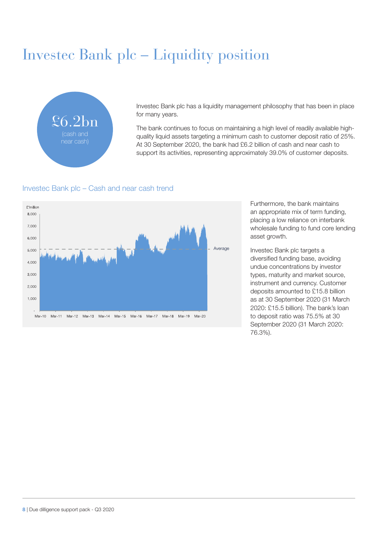### Investec Bank plc – Liquidity position



Investec Bank plc has a liquidity management philosophy that has been in place for many years.

The bank continues to focus on maintaining a high level of readily available highquality liquid assets targeting a minimum cash to customer deposit ratio of 25%. At 30 September 2020, the bank had £6.2 billion of cash and near cash to support its activities, representing approximately 39.0% of customer deposits.

#### Investec Bank plc – Cash and near cash trend



Furthermore, the bank maintains an appropriate mix of term funding, placing a low reliance on interbank wholesale funding to fund core lending asset growth.

Investec Bank plc targets a diversified funding base, avoiding undue concentrations by investor types, maturity and market source, instrument and currency. Customer deposits amounted to £15.8 billion as at 30 September 2020 (31 March 2020: £15.5 billion). The bank's loan to deposit ratio was 75.5% at 30 September 2020 (31 March 2020: 76.3%).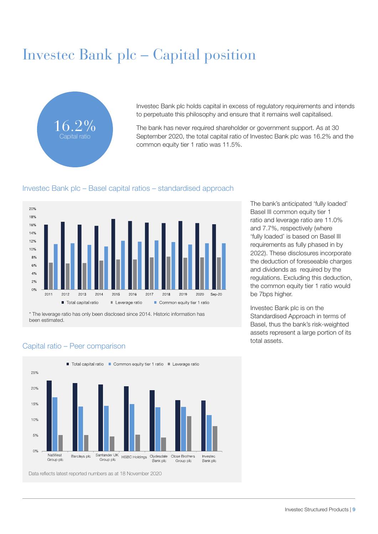### Investec Bank plc – Capital position



Investec Bank plc holds capital in excess of regulatory requirements and intends to perpetuate this philosophy and ensure that it remains well capitalised.

The bank has never required shareholder or government support. As at 30 September 2020, the total capital ratio of Investec Bank plc was 16.2% and the common equity tier 1 ratio was 11.5%.

#### Investec Bank plc – Basel capital ratios – standardised approach



\* The leverage ratio has only been disclosed since 2014. Historic information has been estimated.

The bank's anticipated 'fully loaded' Basel III common equity tier 1 ratio and leverage ratio are 11.0% and 7.7%, respectively (where 'fully loaded' is based on Basel III requirements as fully phased in by 2022). These disclosures incorporate the deduction of foreseeable charges and dividends as required by the regulations. Excluding this deduction, the common equity tier 1 ratio would be 7bps higher.

Investec Bank plc is on the Standardised Approach in terms of Basel, thus the bank's risk-weighted assets represent a large portion of its total assets.

#### Capital ratio – Peer comparison



Data reflects latest reported numbers as at 18 November 2020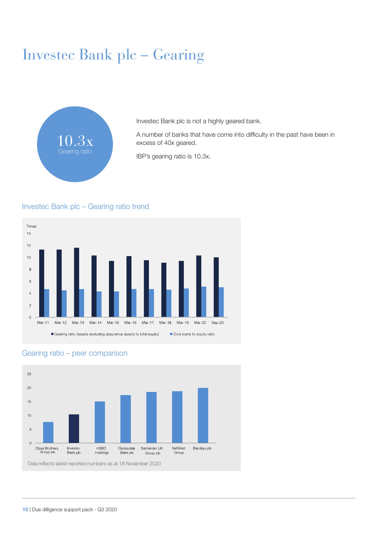### Investec Bank plc – Gearing



Investec Bank plc is not a highly geared bank.

A number of banks that have come into difficulty in the past have been in excess of 40x geared.

IBP's gearing ratio is 10.3x.

#### Investec Bank plc – Gearing ratio trend





#### Gearing ratio – peer comparison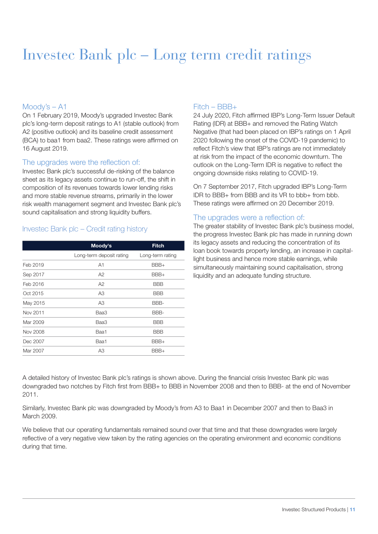### Investec Bank plc – Long term credit ratings

#### Moody's – A1

On 1 February 2019, Moody's upgraded Investec Bank plc's long-term deposit ratings to A1 (stable outlook) from A2 (positive outlook) and its baseline credit assessment (BCA) to baa1 from baa2. These ratings were affirmed on 16 August 2019.

#### The upgrades were the reflection of:

Investec Bank plc's successful de-risking of the balance sheet as its legacy assets continue to run-off, the shift in composition of its revenues towards lower lending risks and more stable revenue streams, primarily in the lower risk wealth management segment and Investec Bank plc's sound capitalisation and strong liquidity buffers.

#### Investec Bank plc – Credit rating history

|          | Moody's                  | <b>Fitch</b>     |  |  |  |
|----------|--------------------------|------------------|--|--|--|
|          | Long-term deposit rating | Long-term rating |  |  |  |
| Feb 2019 | A1                       | BBB+             |  |  |  |
| Sep 2017 | A2                       | BBB+             |  |  |  |
| Feb 2016 | A2                       | <b>BBB</b>       |  |  |  |
| Oct 2015 | A <sub>3</sub>           | BBB              |  |  |  |
| May 2015 | A <sub>3</sub>           | BBB-             |  |  |  |
| Nov 2011 | Baa3                     | BBB-             |  |  |  |
| Mar 2009 | Baa3                     | BBB              |  |  |  |
| Nov 2008 | Baa1                     | <b>BBB</b>       |  |  |  |
| Dec 2007 | Baa1                     | BBB+             |  |  |  |
| Mar 2007 | A3                       | BBB+             |  |  |  |

#### Fitch – BBB+

24 July 2020, Fitch affirmed IBP's Long-Term Issuer Default Rating (IDR) at BBB+ and removed the Rating Watch Negative (that had been placed on IBP's ratings on 1 April 2020 following the onset of the COVID-19 pandemic) to reflect Fitch's view that IBP's ratings are not immediately at risk from the impact of the economic downturn. The outlook on the Long-Term IDR is negative to reflect the ongoing downside risks relating to COVID-19.

On 7 September 2017, Fitch upgraded IBP's Long-Term IDR to BBB+ from BBB and its VR to bbb+ from bbb. These ratings were affirmed on 20 December 2019.

#### The upgrades were a reflection of:

The greater stability of Investec Bank plc's business model, the progress Investec Bank plc has made in running down its legacy assets and reducing the concentration of its loan book towards property lending, an increase in capitallight business and hence more stable earnings, while simultaneously maintaining sound capitalisation, strong liquidity and an adequate funding structure.

A detailed history of Investec Bank plc's ratings is shown above. During the financial crisis Investec Bank plc was downgraded two notches by Fitch first from BBB+ to BBB in November 2008 and then to BBB- at the end of November 2011.

Similarly, Investec Bank plc was downgraded by Moody's from A3 to Baa1 in December 2007 and then to Baa3 in March 2009.

We believe that our operating fundamentals remained sound over that time and that these downgrades were largely reflective of a very negative view taken by the rating agencies on the operating environment and economic conditions during that time.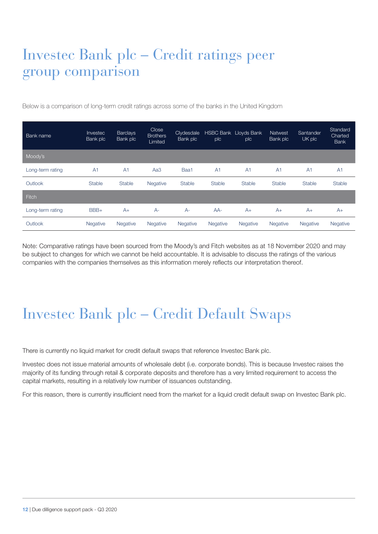### Investec Bank plc – Credit ratings peer group comparison

Below is a comparison of long-term credit ratings across some of the banks in the United Kingdom

| Bank name        | Investec<br>Bank plc | <b>Barclays</b><br>Bank plc | Close<br><b>Brothers</b><br>Limited | Clydesdale<br>Bank plc | <b>HSBC Bank Lloyds Bank</b><br>plc | plc            | <b>Natwest</b><br>Bank plc | Santander<br>UK plc | Standard<br><b>Charted</b><br><b>Bank</b> |
|------------------|----------------------|-----------------------------|-------------------------------------|------------------------|-------------------------------------|----------------|----------------------------|---------------------|-------------------------------------------|
| Moody's          |                      |                             |                                     |                        |                                     |                |                            |                     |                                           |
| Long-term rating | A <sub>1</sub>       | A <sub>1</sub>              | Aa3                                 | Baa1                   | A <sub>1</sub>                      | A <sub>1</sub> | A <sub>1</sub>             | A <sub>1</sub>      | A <sub>1</sub>                            |
| Outlook          | Stable               | <b>Stable</b>               | Negative                            | <b>Stable</b>          | <b>Stable</b>                       | Stable         | <b>Stable</b>              | <b>Stable</b>       | <b>Stable</b>                             |
| <b>Fitch</b>     |                      |                             |                                     |                        |                                     |                |                            |                     |                                           |
| Long-term rating | BBB+                 | $A+$                        | $A -$                               | $A-$                   | $AA-$                               | $A+$           | $A+$                       | $A+$                | $A+$                                      |
| Outlook          | <b>Negative</b>      | <b>Negative</b>             | <b>Negative</b>                     | Negative               | <b>Negative</b>                     | Negative       | Negative                   | <b>Negative</b>     | Negative                                  |

Note: Comparative ratings have been sourced from the Moody's and Fitch websites as at 18 November 2020 and may be subject to changes for which we cannot be held accountable. It is advisable to discuss the ratings of the various companies with the companies themselves as this information merely reflects our interpretation thereof.

### Investec Bank plc – Credit Default Swaps

There is currently no liquid market for credit default swaps that reference Investec Bank plc.

Investec does not issue material amounts of wholesale debt (i.e. corporate bonds). This is because Investec raises the majority of its funding through retail & corporate deposits and therefore has a very limited requirement to access the capital markets, resulting in a relatively low number of issuances outstanding.

For this reason, there is currently insufficient need from the market for a liquid credit default swap on Investec Bank plc.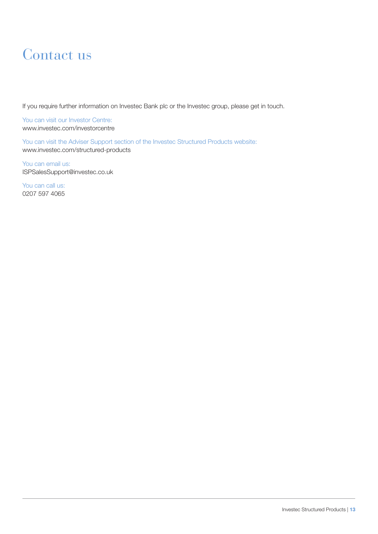#### Contact us

If you require further information on Investec Bank plc or the Investec group, please get in touch.

You can visit our Investor Centre: www.investec.com/investorcentre

You can visit the Adviser Support section of the Investec Structured Products website: www.investec.com/structured-products

You can email us: ISPSalesSupport@investec.co.uk

You can call us: 0207 597 4065